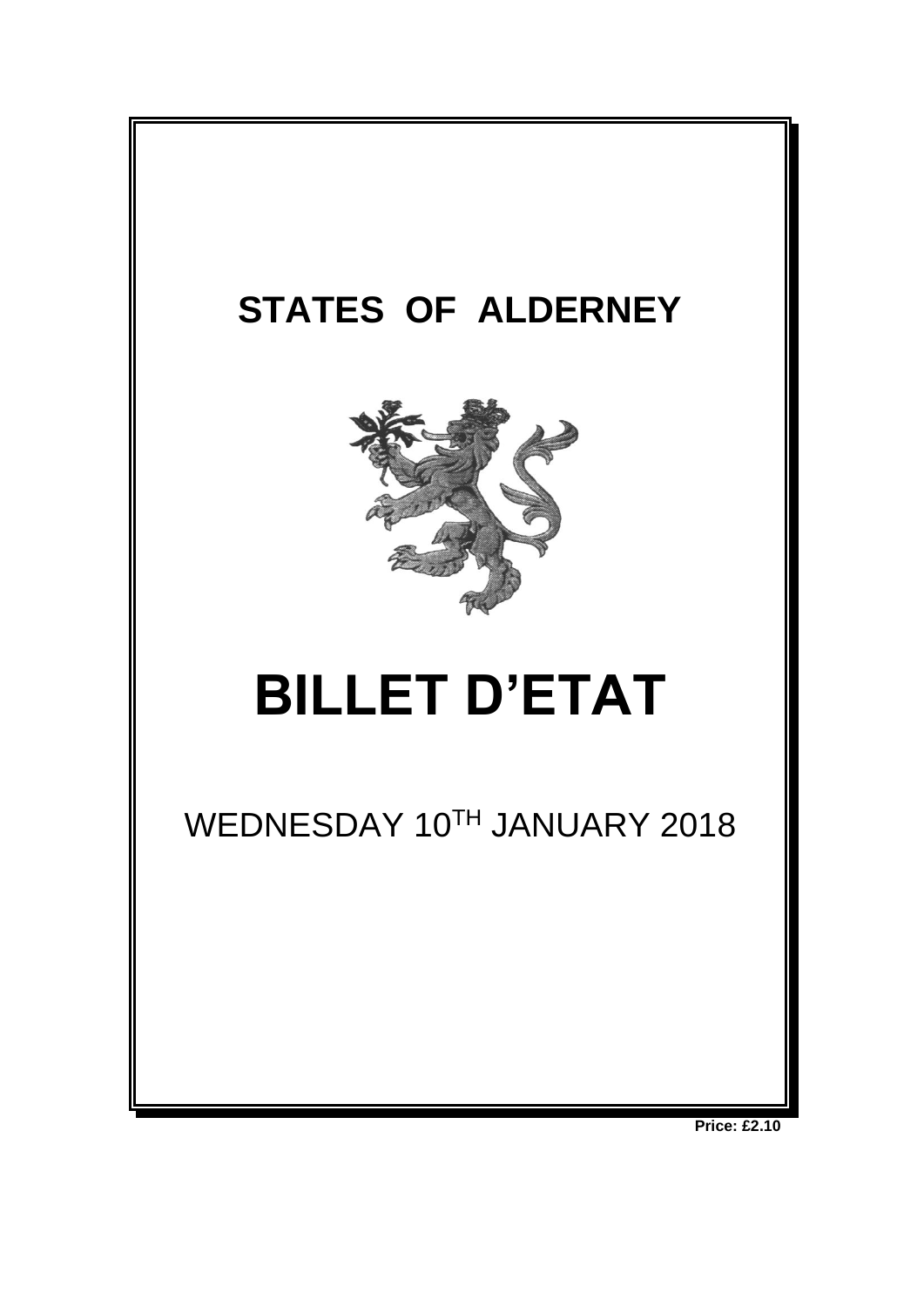

**Price: £2.10**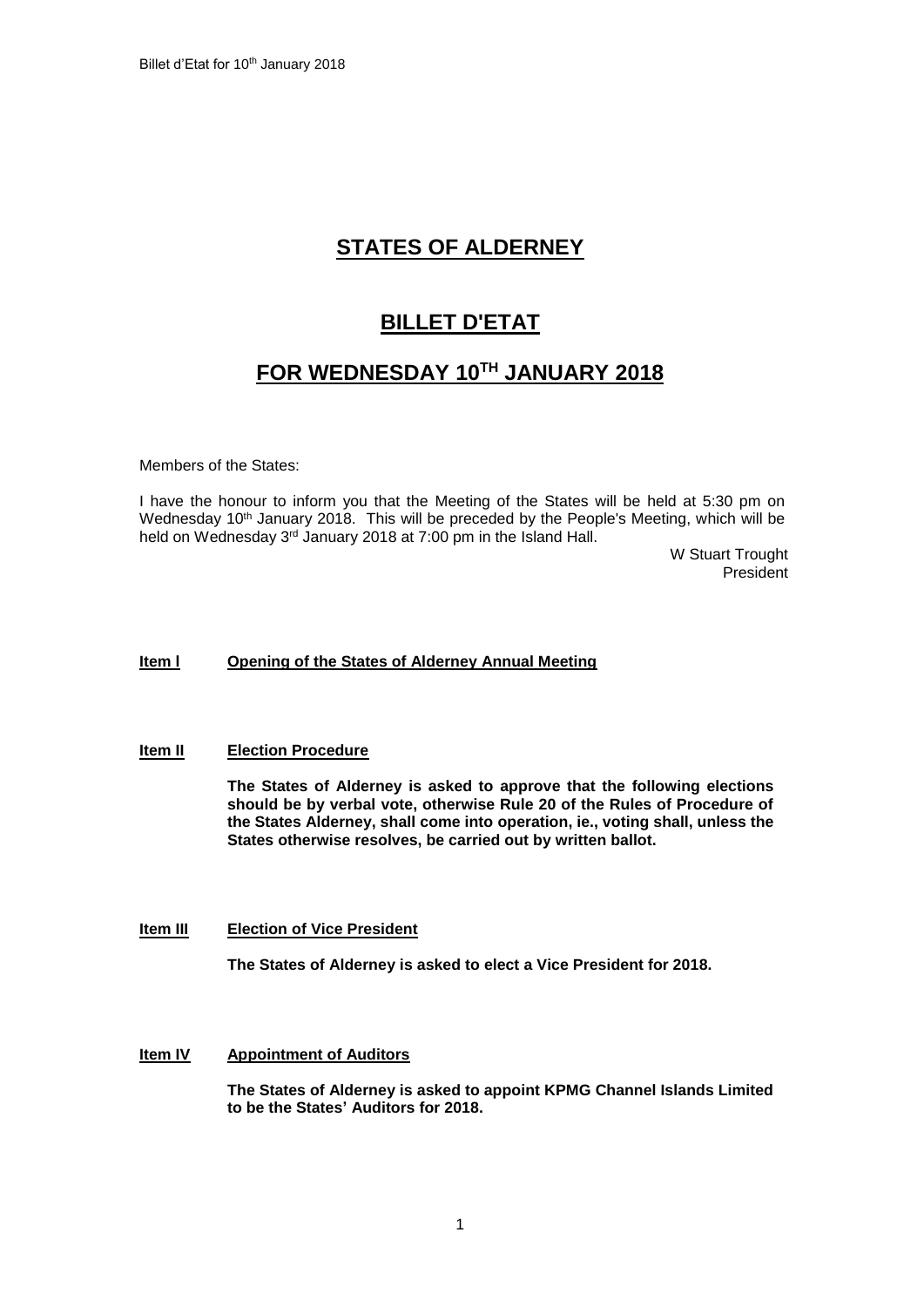# **STATES OF ALDERNEY**

# **BILLET D'ETAT**

# **FOR WEDNESDAY 10TH JANUARY 2018**

Members of the States:

I have the honour to inform you that the Meeting of the States will be held at 5:30 pm on Wednesday 10<sup>th</sup> January 2018. This will be preceded by the People's Meeting, which will be held on Wednesday 3<sup>rd</sup> January 2018 at 7:00 pm in the Island Hall.

W Stuart Trought President

# **Item l Opening of the States of Alderney Annual Meeting**

### **Item II Election Procedure**

**The States of Alderney is asked to approve that the following elections should be by verbal vote, otherwise Rule 20 of the Rules of Procedure of the States Alderney, shall come into operation, ie., voting shall, unless the States otherwise resolves, be carried out by written ballot.**

### **Item III Election of Vice President**

**The States of Alderney is asked to elect a Vice President for 2018.**

## **Item IV Appointment of Auditors**

**The States of Alderney is asked to appoint KPMG Channel Islands Limited to be the States' Auditors for 2018.**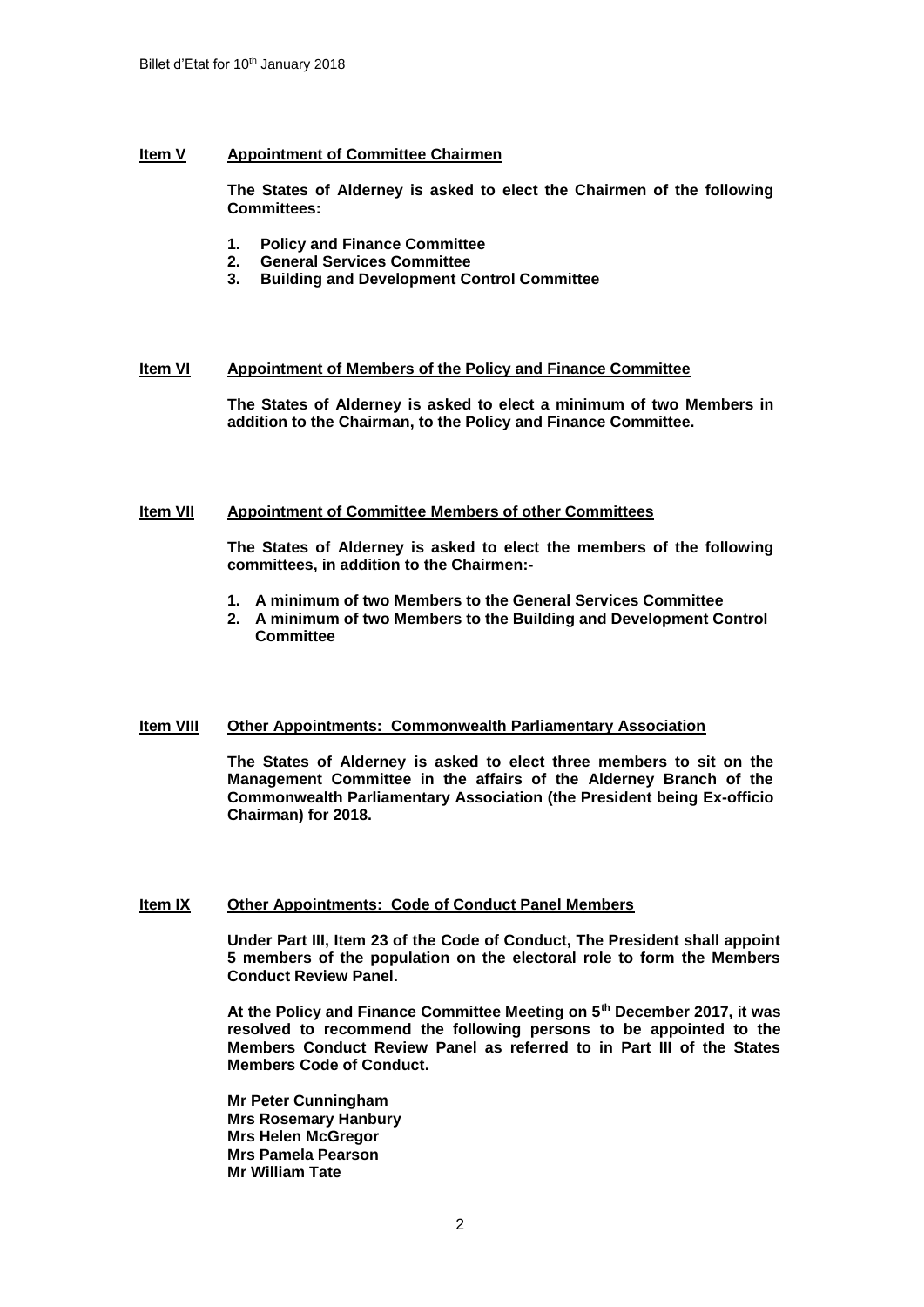# **Item V Appointment of Committee Chairmen**

**The States of Alderney is asked to elect the Chairmen of the following Committees:**

- **1. Policy and Finance Committee**
- **2. General Services Committee**
- **3. Building and Development Control Committee**

# **Item VI Appointment of Members of the Policy and Finance Committee**

**The States of Alderney is asked to elect a minimum of two Members in addition to the Chairman, to the Policy and Finance Committee.**

## **Item VII Appointment of Committee Members of other Committees**

**The States of Alderney is asked to elect the members of the following committees, in addition to the Chairmen:-**

- **1. A minimum of two Members to the General Services Committee**
- **2. A minimum of two Members to the Building and Development Control Committee**

### **Item VIII Other Appointments: Commonwealth Parliamentary Association**

**The States of Alderney is asked to elect three members to sit on the Management Committee in the affairs of the Alderney Branch of the Commonwealth Parliamentary Association (the President being Ex-officio Chairman) for 2018.**

# **Item IX Other Appointments: Code of Conduct Panel Members**

**Under Part III, Item 23 of the Code of Conduct, The President shall appoint 5 members of the population on the electoral role to form the Members Conduct Review Panel.** 

**At the Policy and Finance Committee Meeting on 5th December 2017, it was resolved to recommend the following persons to be appointed to the Members Conduct Review Panel as referred to in Part III of the States Members Code of Conduct.**

**Mr Peter Cunningham Mrs Rosemary Hanbury Mrs Helen McGregor Mrs Pamela Pearson Mr William Tate**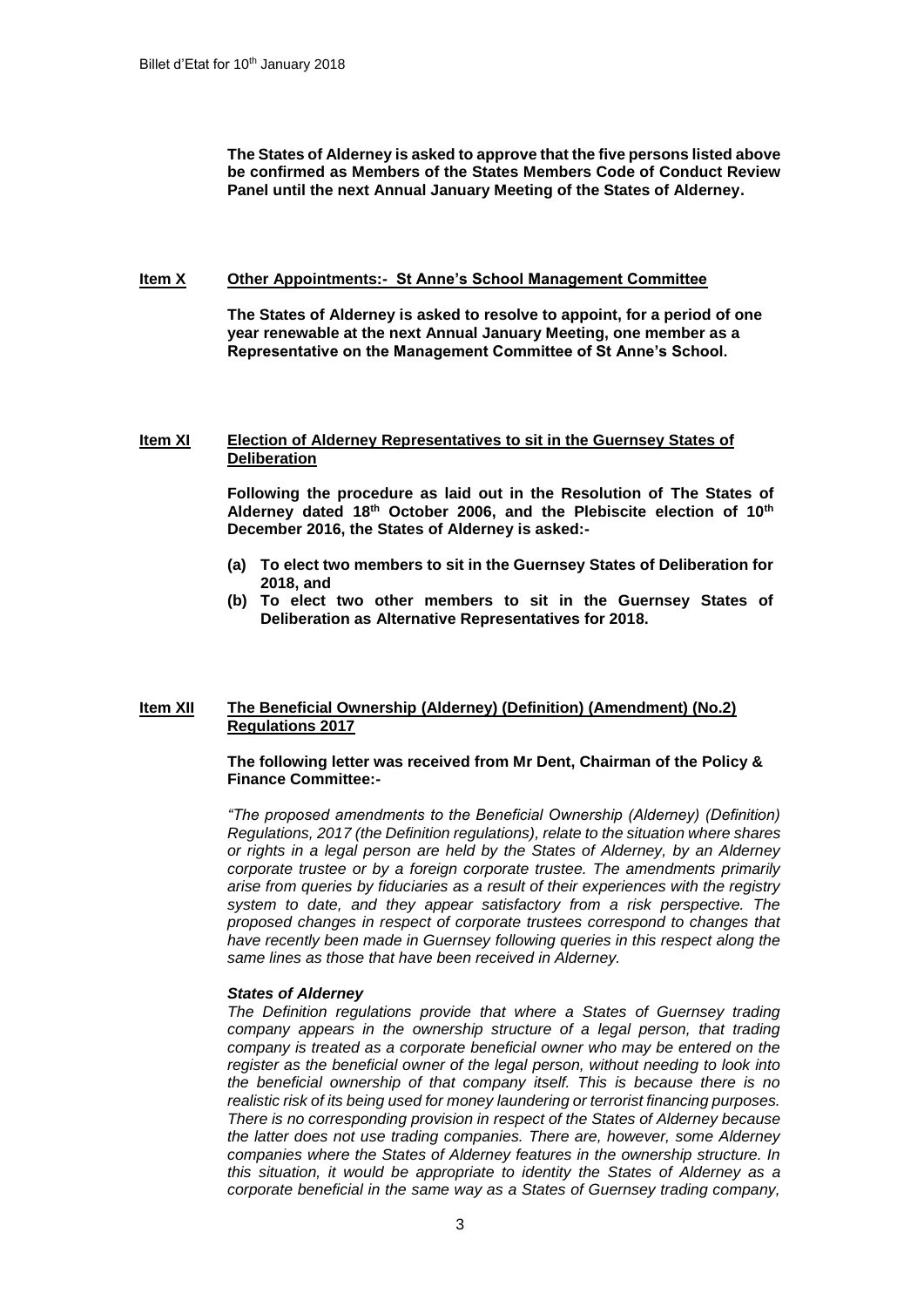**The States of Alderney is asked to approve that the five persons listed above be confirmed as Members of the States Members Code of Conduct Review Panel until the next Annual January Meeting of the States of Alderney.**

#### **Item X Other Appointments:- St Anne's School Management Committee**

**The States of Alderney is asked to resolve to appoint, for a period of one year renewable at the next Annual January Meeting, one member as a Representative on the Management Committee of St Anne's School.**

#### **Item XI Election of Alderney Representatives to sit in the Guernsey States of Deliberation**

**Following the procedure as laid out in the Resolution of The States of Alderney dated 18th October 2006, and the Plebiscite election of 10th December 2016, the States of Alderney is asked:-**

- **(a) To elect two members to sit in the Guernsey States of Deliberation for 2018, and**
- **(b) To elect two other members to sit in the Guernsey States of Deliberation as Alternative Representatives for 2018.**

### **Item XII The Beneficial Ownership (Alderney) (Definition) (Amendment) (No.2) Regulations 2017**

#### **The following letter was received from Mr Dent, Chairman of the Policy & Finance Committee:-**

*"The proposed amendments to the Beneficial Ownership (Alderney) (Definition) Regulations, 2017 (the Definition regulations), relate to the situation where shares or rights in a legal person are held by the States of Alderney, by an Alderney corporate trustee or by a foreign corporate trustee. The amendments primarily arise from queries by fiduciaries as a result of their experiences with the registry system to date, and they appear satisfactory from a risk perspective. The proposed changes in respect of corporate trustees correspond to changes that have recently been made in Guernsey following queries in this respect along the same lines as those that have been received in Alderney.*

### *States of Alderney*

*The Definition regulations provide that where a States of Guernsey trading company appears in the ownership structure of a legal person, that trading company is treated as a corporate beneficial owner who may be entered on the register as the beneficial owner of the legal person, without needing to look into the beneficial ownership of that company itself. This is because there is no realistic risk of its being used for money laundering or terrorist financing purposes. There is no corresponding provision in respect of the States of Alderney because the latter does not use trading companies. There are, however, some Alderney companies where the States of Alderney features in the ownership structure. In this situation, it would be appropriate to identity the States of Alderney as a corporate beneficial in the same way as a States of Guernsey trading company,*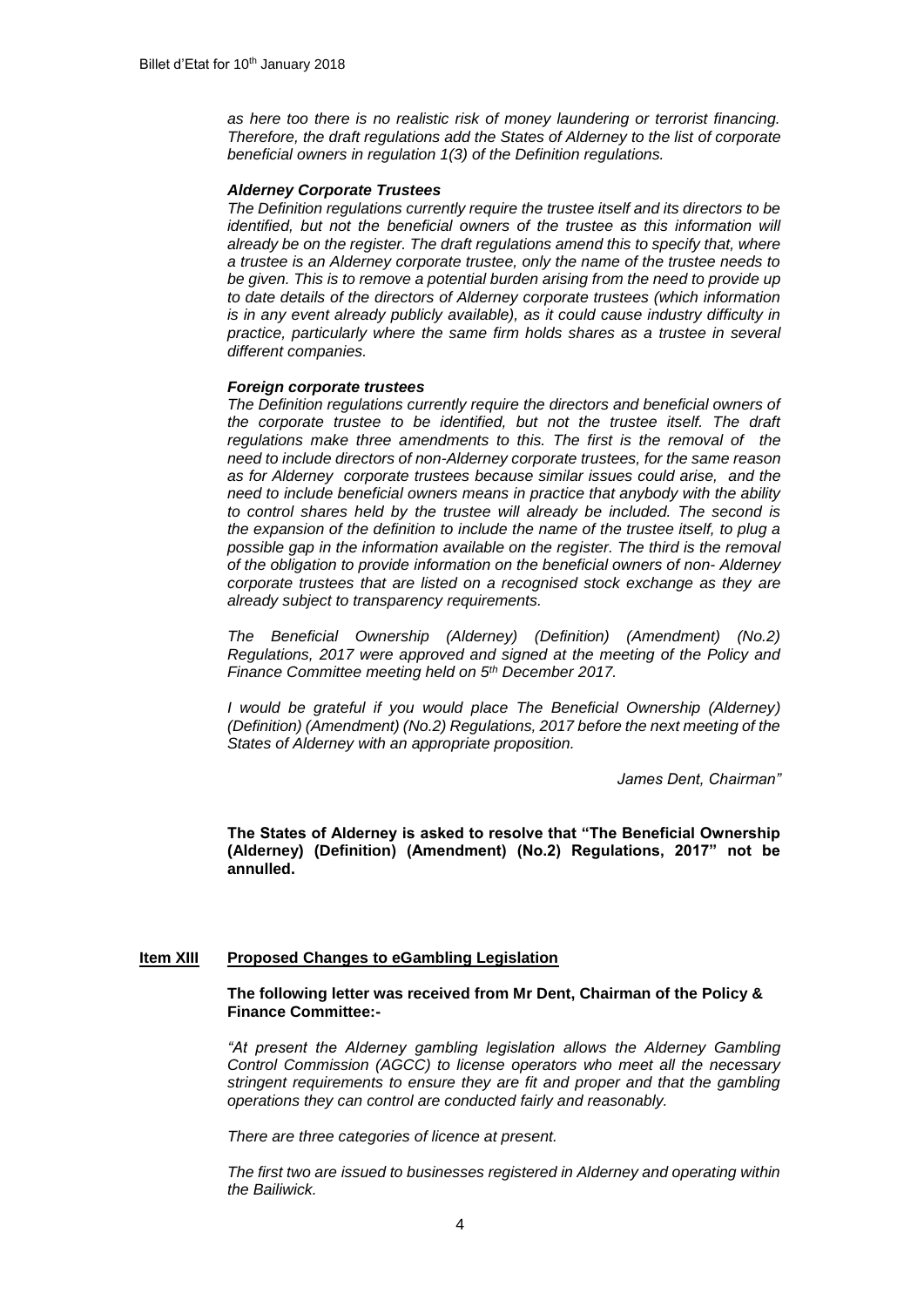*as here too there is no realistic risk of money laundering or terrorist financing. Therefore, the draft regulations add the States of Alderney to the list of corporate beneficial owners in regulation 1(3) of the Definition regulations.* 

#### *Alderney Corporate Trustees*

*The Definition regulations currently require the trustee itself and its directors to be identified, but not the beneficial owners of the trustee as this information will already be on the register. The draft regulations amend this to specify that, where a trustee is an Alderney corporate trustee, only the name of the trustee needs to be given. This is to remove a potential burden arising from the need to provide up to date details of the directors of Alderney corporate trustees (which information is in any event already publicly available), as it could cause industry difficulty in practice, particularly where the same firm holds shares as a trustee in several different companies.*

#### *Foreign corporate trustees*

*The Definition regulations currently require the directors and beneficial owners of the corporate trustee to be identified, but not the trustee itself. The draft regulations make three amendments to this. The first is the removal of the need to include directors of non-Alderney corporate trustees, for the same reason as for Alderney corporate trustees because similar issues could arise, and the need to include beneficial owners means in practice that anybody with the ability to control shares held by the trustee will already be included. The second is the expansion of the definition to include the name of the trustee itself, to plug a possible gap in the information available on the register. The third is the removal of the obligation to provide information on the beneficial owners of non- Alderney corporate trustees that are listed on a recognised stock exchange as they are already subject to transparency requirements.*

*The Beneficial Ownership (Alderney) (Definition) (Amendment) (No.2) Regulations, 2017 were approved and signed at the meeting of the Policy and Finance Committee meeting held on 5th December 2017.*

*I* would be grateful if you would place The Beneficial Ownership (Alderney) *(Definition) (Amendment) (No.2) Regulations, 2017 before the next meeting of the States of Alderney with an appropriate proposition.*

*James Dent, Chairman"*

**The States of Alderney is asked to resolve that "The Beneficial Ownership (Alderney) (Definition) (Amendment) (No.2) Regulations, 2017" not be annulled.**

#### **Item XIII Proposed Changes to eGambling Legislation**

### **The following letter was received from Mr Dent, Chairman of the Policy & Finance Committee:-**

*"At present the Alderney gambling legislation allows the Alderney Gambling Control Commission (AGCC) to license operators who meet all the necessary stringent requirements to ensure they are fit and proper and that the gambling operations they can control are conducted fairly and reasonably.*

*There are three categories of licence at present.*

*The first two are issued to businesses registered in Alderney and operating within the Bailiwick.*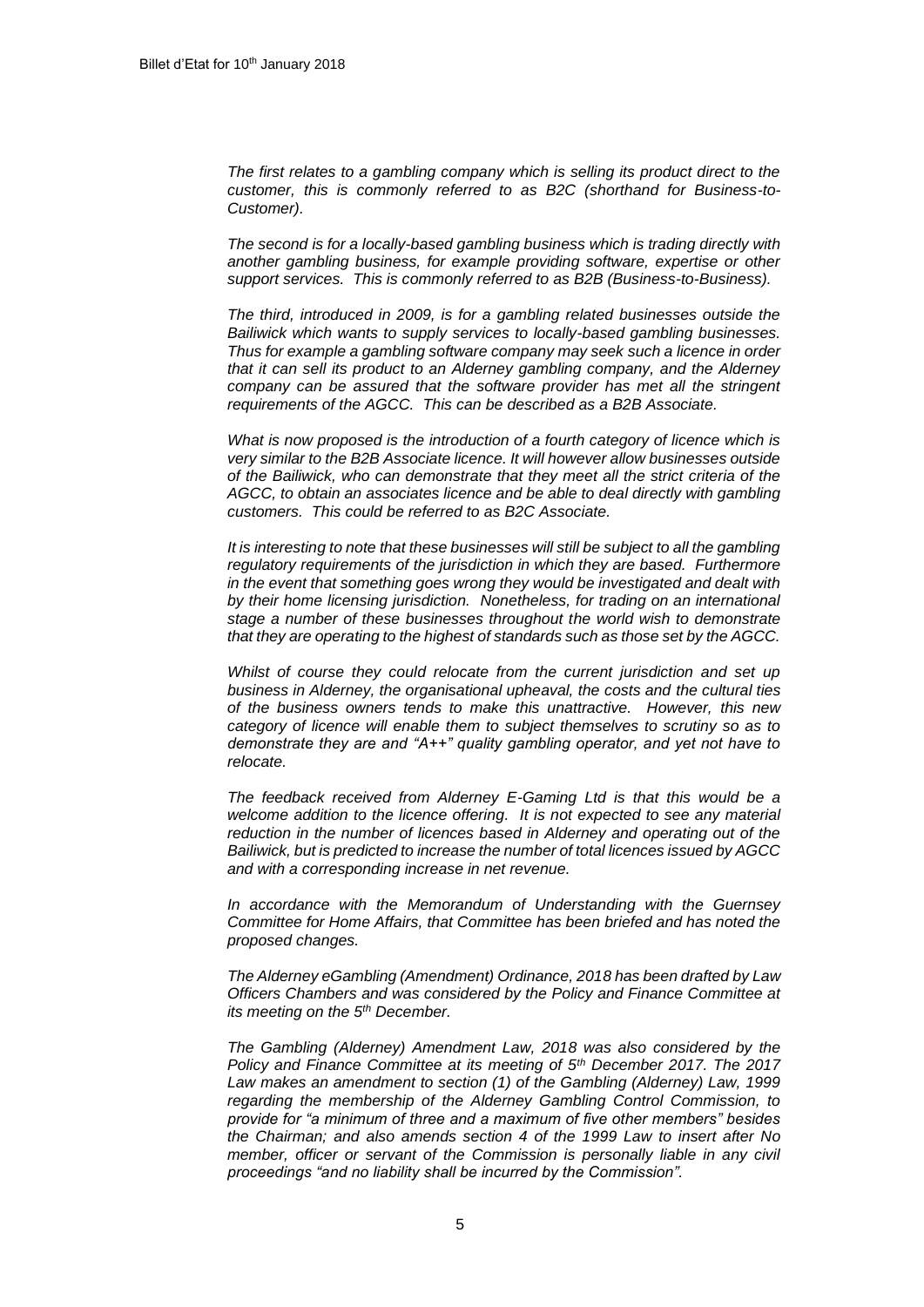*The first relates to a gambling company which is selling its product direct to the customer, this is commonly referred to as B2C (shorthand for Business-to-Customer).*

*The second is for a locally-based gambling business which is trading directly with another gambling business, for example providing software, expertise or other support services. This is commonly referred to as B2B (Business-to-Business).*

*The third, introduced in 2009, is for a gambling related businesses outside the Bailiwick which wants to supply services to locally-based gambling businesses. Thus for example a gambling software company may seek such a licence in order that it can sell its product to an Alderney gambling company, and the Alderney*  company can be assured that the software provider has met all the stringent *requirements of the AGCC. This can be described as a B2B Associate.*

*What is now proposed is the introduction of a fourth category of licence which is very similar to the B2B Associate licence. It will however allow businesses outside of the Bailiwick, who can demonstrate that they meet all the strict criteria of the AGCC, to obtain an associates licence and be able to deal directly with gambling customers. This could be referred to as B2C Associate.* 

*It is interesting to note that these businesses will still be subject to all the gambling regulatory requirements of the jurisdiction in which they are based. Furthermore in the event that something goes wrong they would be investigated and dealt with by their home licensing jurisdiction. Nonetheless, for trading on an international stage a number of these businesses throughout the world wish to demonstrate that they are operating to the highest of standards such as those set by the AGCC.*

*Whilst of course they could relocate from the current jurisdiction and set up business in Alderney, the organisational upheaval, the costs and the cultural ties of the business owners tends to make this unattractive. However, this new category of licence will enable them to subject themselves to scrutiny so as to demonstrate they are and "A++" quality gambling operator, and yet not have to relocate.*

*The feedback received from Alderney E-Gaming Ltd is that this would be a welcome addition to the licence offering. It is not expected to see any material reduction in the number of licences based in Alderney and operating out of the Bailiwick, but is predicted to increase the number of total licences issued by AGCC and with a corresponding increase in net revenue.* 

*In accordance with the Memorandum of Understanding with the Guernsey Committee for Home Affairs, that Committee has been briefed and has noted the proposed changes.*

*The Alderney eGambling (Amendment) Ordinance, 2018 has been drafted by Law Officers Chambers and was considered by the Policy and Finance Committee at its meeting on the 5th December.*

*The Gambling (Alderney) Amendment Law, 2018 was also considered by the Policy and Finance Committee at its meeting of 5th December 2017. The 2017 Law makes an amendment to section (1) of the Gambling (Alderney) Law, 1999 regarding the membership of the Alderney Gambling Control Commission, to provide for "a minimum of three and a maximum of five other members" besides the Chairman; and also amends section 4 of the 1999 Law to insert after No member, officer or servant of the Commission is personally liable in any civil proceedings "and no liability shall be incurred by the Commission".*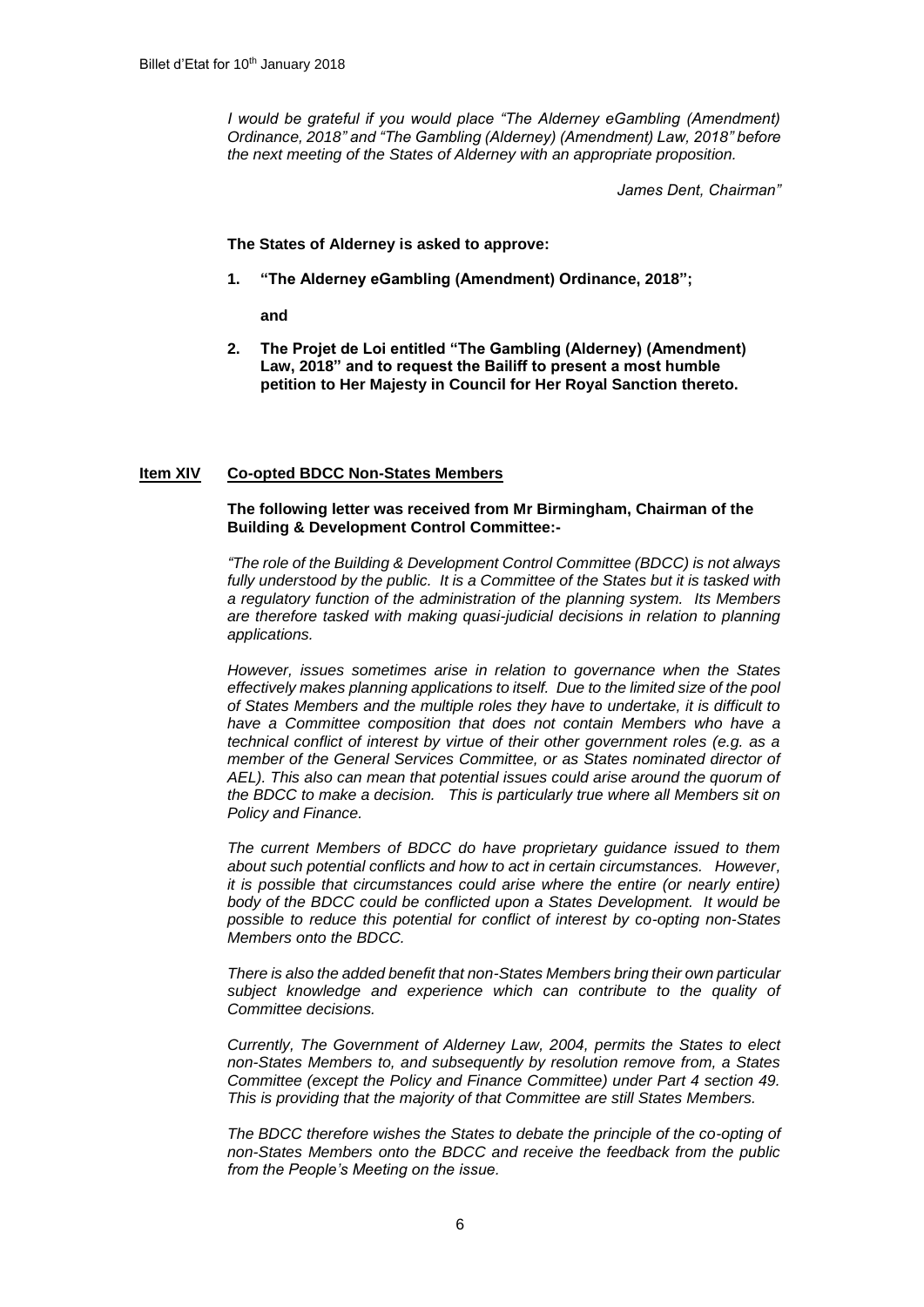*I* would be grateful if you would place "The Alderney eGambling (Amendment) *Ordinance, 2018" and "The Gambling (Alderney) (Amendment) Law, 2018" before the next meeting of the States of Alderney with an appropriate proposition.*

*James Dent, Chairman"*

**The States of Alderney is asked to approve:**

**1. "The Alderney eGambling (Amendment) Ordinance, 2018";** 

**and**

**2. The Projet de Loi entitled "The Gambling (Alderney) (Amendment) Law, 2018" and to request the Bailiff to present a most humble petition to Her Majesty in Council for Her Royal Sanction thereto.**

## **Item XIV Co-opted BDCC Non-States Members**

## **The following letter was received from Mr Birmingham, Chairman of the Building & Development Control Committee:-**

*"The role of the Building & Development Control Committee (BDCC) is not always*  fully understood by the public. It is a Committee of the States but it is tasked with *a regulatory function of the administration of the planning system. Its Members are therefore tasked with making quasi-judicial decisions in relation to planning applications.*

*However, issues sometimes arise in relation to governance when the States effectively makes planning applications to itself. Due to the limited size of the pool of States Members and the multiple roles they have to undertake, it is difficult to have a Committee composition that does not contain Members who have a technical conflict of interest by virtue of their other government roles (e.g. as a member of the General Services Committee, or as States nominated director of AEL). This also can mean that potential issues could arise around the quorum of the BDCC to make a decision. This is particularly true where all Members sit on Policy and Finance.*

*The current Members of BDCC do have proprietary guidance issued to them about such potential conflicts and how to act in certain circumstances. However, it is possible that circumstances could arise where the entire (or nearly entire) body of the BDCC could be conflicted upon a States Development. It would be possible to reduce this potential for conflict of interest by co-opting non-States Members onto the BDCC.*

*There is also the added benefit that non-States Members bring their own particular subject knowledge and experience which can contribute to the quality of Committee decisions.*

*Currently, The Government of Alderney Law, 2004, permits the States to elect non-States Members to, and subsequently by resolution remove from, a States Committee (except the Policy and Finance Committee) under Part 4 section 49. This is providing that the majority of that Committee are still States Members.*

*The BDCC therefore wishes the States to debate the principle of the co-opting of non-States Members onto the BDCC and receive the feedback from the public from the People's Meeting on the issue.*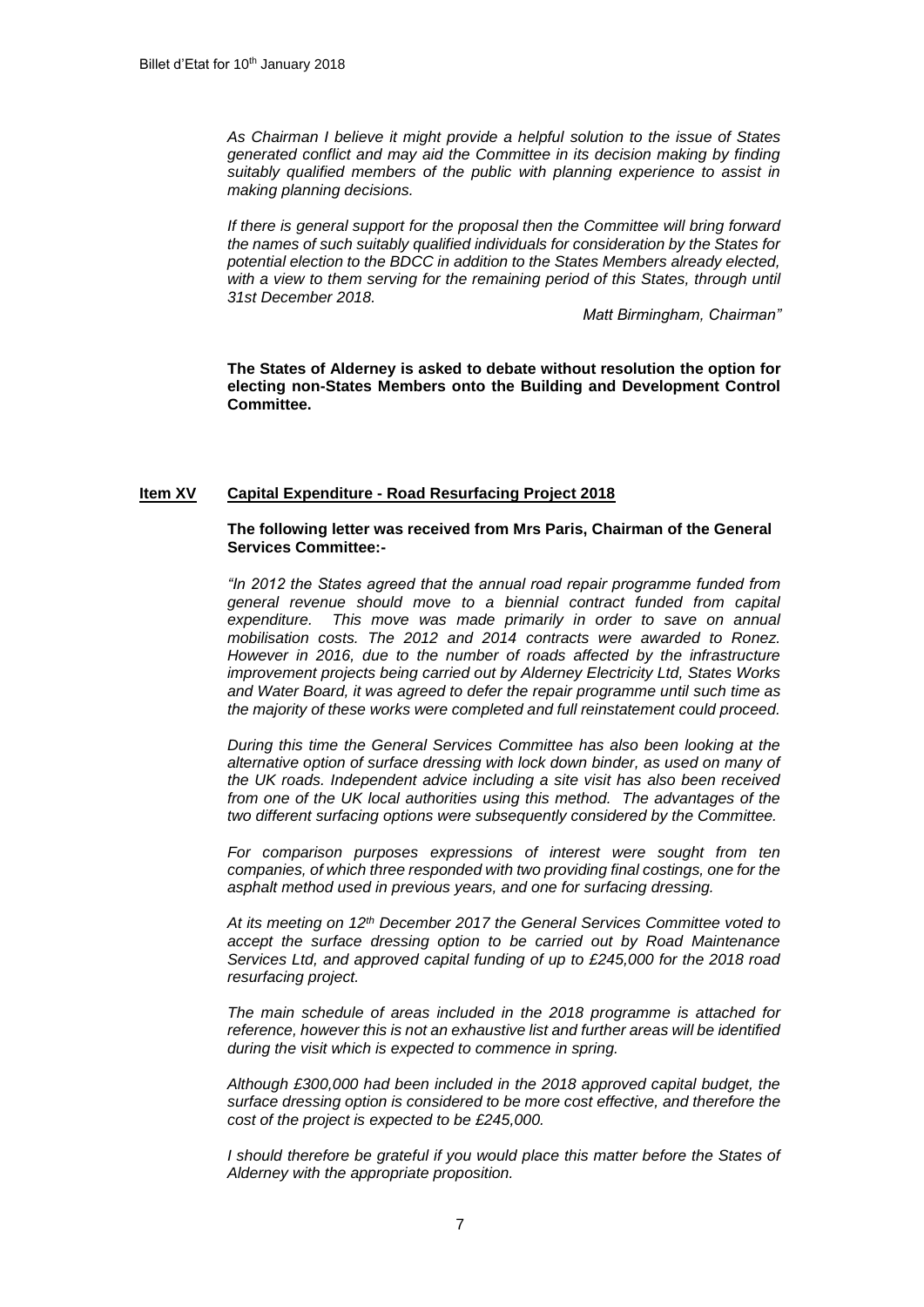*As Chairman I believe it might provide a helpful solution to the issue of States generated conflict and may aid the Committee in its decision making by finding suitably qualified members of the public with planning experience to assist in making planning decisions.*

*If there is general support for the proposal then the Committee will bring forward the names of such suitably qualified individuals for consideration by the States for potential election to the BDCC in addition to the States Members already elected, with a view to them serving for the remaining period of this States, through until 31st December 2018.*

*Matt Birmingham, Chairman"*

**The States of Alderney is asked to debate without resolution the option for electing non-States Members onto the Building and Development Control Committee.**

#### **Item XV Capital Expenditure - Road Resurfacing Project 2018**

### **The following letter was received from Mrs Paris, Chairman of the General Services Committee:-**

*"In 2012 the States agreed that the annual road repair programme funded from general revenue should move to a biennial contract funded from capital expenditure. This move was made primarily in order to save on annual mobilisation costs. The 2012 and 2014 contracts were awarded to Ronez. However in 2016, due to the number of roads affected by the infrastructure improvement projects being carried out by Alderney Electricity Ltd, States Works and Water Board, it was agreed to defer the repair programme until such time as the majority of these works were completed and full reinstatement could proceed.*

*During this time the General Services Committee has also been looking at the alternative option of surface dressing with lock down binder, as used on many of the UK roads. Independent advice including a site visit has also been received from one of the UK local authorities using this method. The advantages of the two different surfacing options were subsequently considered by the Committee.*

*For comparison purposes expressions of interest were sought from ten companies, of which three responded with two providing final costings, one for the asphalt method used in previous years, and one for surfacing dressing.* 

*At its meeting on 12th December 2017 the General Services Committee voted to accept the surface dressing option to be carried out by Road Maintenance Services Ltd, and approved capital funding of up to £245,000 for the 2018 road resurfacing project.* 

*The main schedule of areas included in the 2018 programme is attached for reference, however this is not an exhaustive list and further areas will be identified during the visit which is expected to commence in spring.* 

*Although £300,000 had been included in the 2018 approved capital budget, the surface dressing option is considered to be more cost effective, and therefore the cost of the project is expected to be £245,000.* 

*I* should therefore be grateful if you would place this matter before the States of *Alderney with the appropriate proposition.*